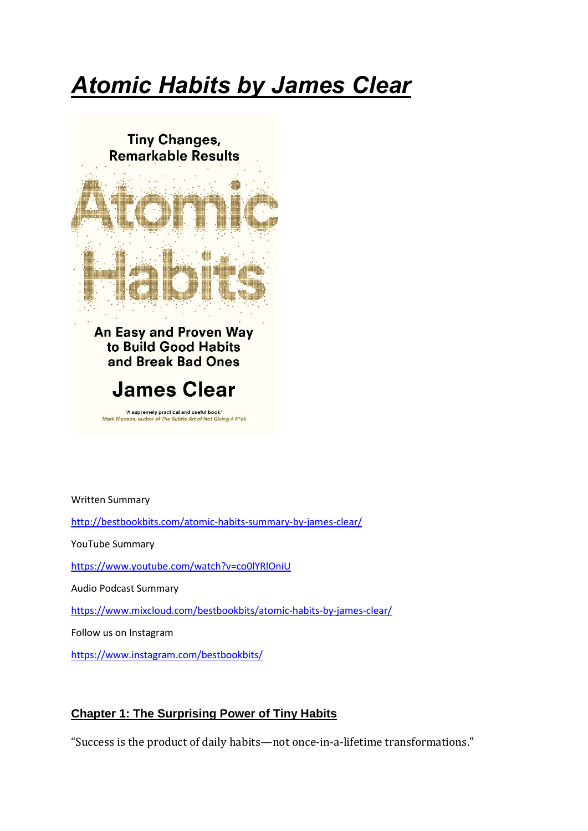## *Atomic Habits by James Clear*

**Tiny Changes, Remarkable Results** 



An Easy and Proven Way to Build Good Habits and Break Bad Ones

## **James Clear**

'A supremely practical and useful book.'<br>nson, author of *The Subtle Art of Not Giving A F\*ck* Mark Manse

Written Summary

<http://bestbookbits.com/atomic-habits-summary-by-james-clear/>

YouTube Summary

<https://www.youtube.com/watch?v=co0lYRlOniU>

Audio Podcast Summary

<https://www.mixcloud.com/bestbookbits/atomic-habits-by-james-clear/>

Follow us on Instagram

<https://www.instagram.com/bestbookbits/>

## **Chapter 1: The Surprising Power of Tiny Habits**

"Success is the product of daily habits—not once-in-a-lifetime transformations."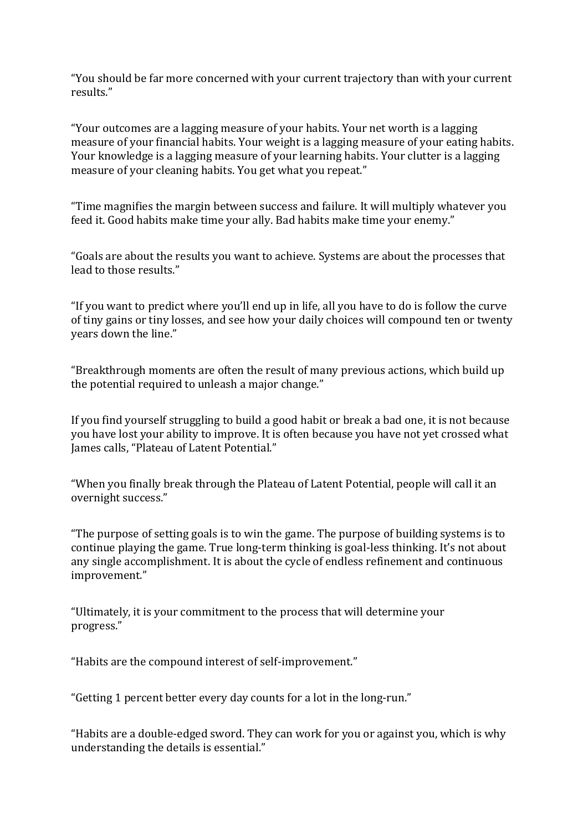"You should be far more concerned with your current trajectory than with your current results."

"Your outcomes are a lagging measure of your habits. Your net worth is a lagging measure of your financial habits. Your weight is a lagging measure of your eating habits. Your knowledge is a lagging measure of your learning habits. Your clutter is a lagging measure of your cleaning habits. You get what you repeat."

"Time magnifies the margin between success and failure. It will multiply whatever you feed it. Good habits make time your ally. Bad habits make time your enemy."

"Goals are about the results you want to achieve. Systems are about the processes that lead to those results."

"If you want to predict where you'll end up in life, all you have to do is follow the curve of tiny gains or tiny losses, and see how your daily choices will compound ten or twenty years down the line."

"Breakthrough moments are often the result of many previous actions, which build up the potential required to unleash a major change."

If you find yourself struggling to build a good habit or break a bad one, it is not because you have lost your ability to improve. It is often because you have not yet crossed what James calls, "Plateau of Latent Potential."

"When you finally break through the Plateau of Latent Potential, people will call it an overnight success."

"The purpose of setting goals is to win the game. The purpose of building systems is to continue playing the game. True long-term thinking is goal-less thinking. It's not about any single accomplishment. It is about the cycle of endless refinement and continuous improvement."

"Ultimately, it is your commitment to the process that will determine your progress."

"Habits are the compound interest of self-improvement."

"Getting 1 percent better every day counts for a lot in the long-run."

"Habits are a double-edged sword. They can work for you or against you, which is why understanding the details is essential."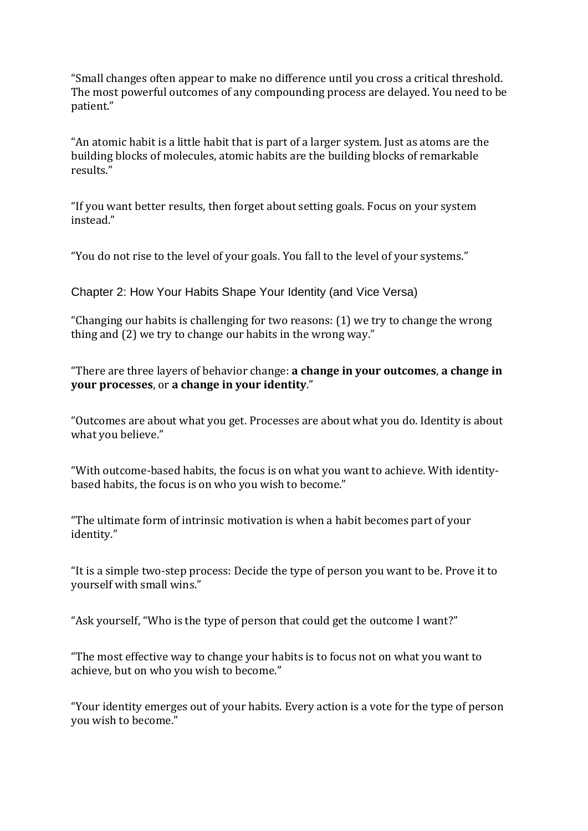"Small changes often appear to make no difference until you cross a critical threshold. The most powerful outcomes of any compounding process are delayed. You need to be patient."

"An atomic habit is a little habit that is part of a larger system. Just as atoms are the building blocks of molecules, atomic habits are the building blocks of remarkable results."

"If you want better results, then forget about setting goals. Focus on your system instead."

"You do not rise to the level of your goals. You fall to the level of your systems."

Chapter 2: How Your Habits Shape Your Identity (and Vice Versa)

"Changing our habits is challenging for two reasons: (1) we try to change the wrong thing and (2) we try to change our habits in the wrong way."

"There are three layers of behavior change: **a change in your outcomes**, **a change in your processes**, or **a change in your identity**."

"Outcomes are about what you get. Processes are about what you do. Identity is about what you believe."

"With outcome-based habits, the focus is on what you want to achieve. With identitybased habits, the focus is on who you wish to become."

"The ultimate form of intrinsic motivation is when a habit becomes part of your identity."

"It is a simple two-step process: Decide the type of person you want to be. Prove it to yourself with small wins."

"Ask yourself, "Who is the type of person that could get the outcome I want?"

"The most effective way to change your habits is to focus not on what you want to achieve, but on who you wish to become."

"Your identity emerges out of your habits. Every action is a vote for the type of person you wish to become."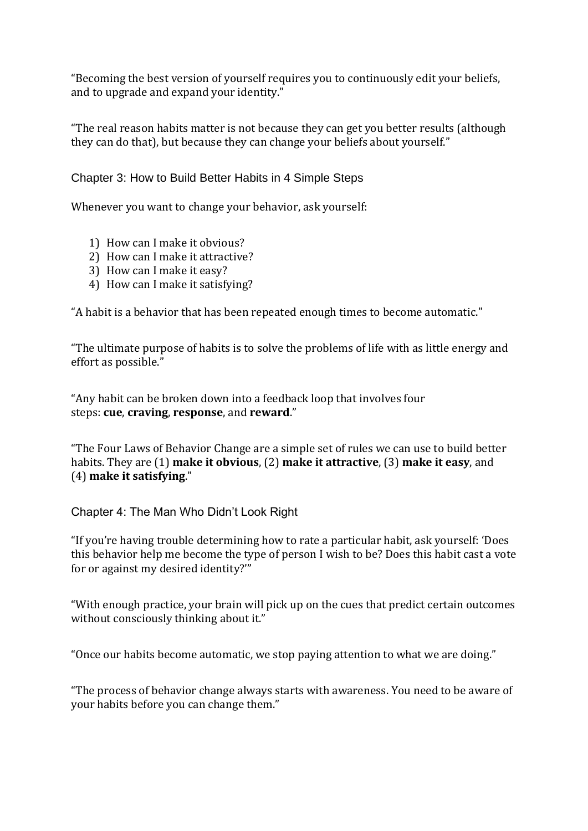"Becoming the best version of yourself requires you to continuously edit your beliefs, and to upgrade and expand your identity."

"The real reason habits matter is not because they can get you better results (although they can do that), but because they can change your beliefs about yourself."

Chapter 3: How to Build Better Habits in 4 Simple Steps

Whenever you want to change your behavior, ask yourself:

- 1) How can I make it obvious?
- 2) How can I make it attractive?
- 3) How can I make it easy?
- 4) How can I make it satisfying?

"A habit is a behavior that has been repeated enough times to become automatic."

"The ultimate purpose of habits is to solve the problems of life with as little energy and effort as possible."

"Any habit can be broken down into a feedback loop that involves four steps: **cue**, **craving**, **response**, and **reward**."

"The Four Laws of Behavior Change are a simple set of rules we can use to build better habits. They are (1) **make it obvious**, (2) **make it attractive**, (3) **make it easy**, and (4) **make it satisfying**."

Chapter 4: The Man Who Didn't Look Right

"If you're having trouble determining how to rate a particular habit, ask yourself: 'Does this behavior help me become the type of person I wish to be? Does this habit cast a vote for or against my desired identity?'"

"With enough practice, your brain will pick up on the cues that predict certain outcomes without consciously thinking about it."

"Once our habits become automatic, we stop paying attention to what we are doing."

"The process of behavior change always starts with awareness. You need to be aware of your habits before you can change them."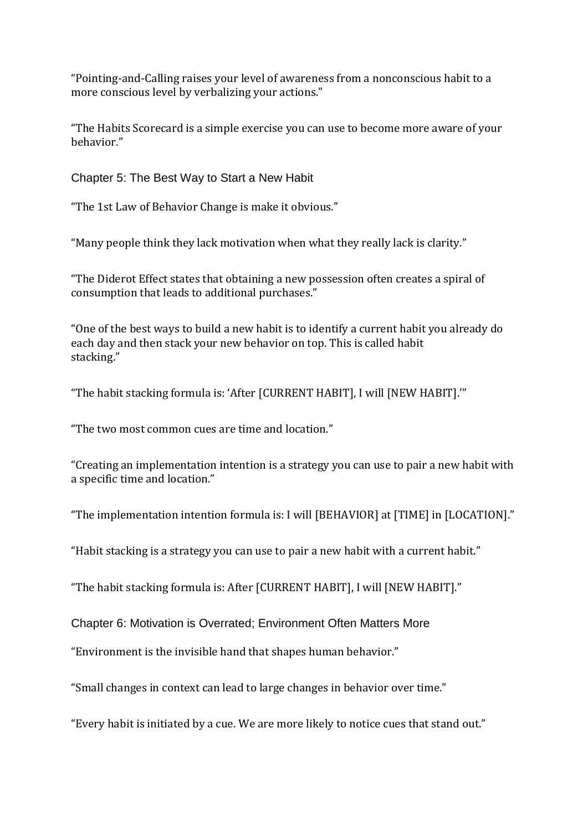"Pointing-and-Calling raises your level of awareness from a nonconscious habit to a more conscious level by verbalizing your actions."

"The Habits Scorecard is a simple exercise you can use to become more aware of your behavior."

Chapter 5: The Best Way to Start a New Habit

"The 1st Law of Behavior Change is make it obvious."

"Many people think they lack motivation when what they really lack is clarity."

"The Diderot Effect states that obtaining a new possession often creates a spiral of consumption that leads to additional purchases."

"One of the best ways to build a new habit is to identify a current habit you already do each day and then stack your new behavior on top. This is called habit stacking."

"The habit stacking formula is: 'After [CURRENT HABIT], I will [NEW HABIT].'"

"The two most common cues are time and location."

"Creating an implementation intention is a strategy you can use to pair a new habit with a specific time and location."

"The implementation intention formula is: I will [BEHAVIOR] at [TIME] in [LOCATION]."

"Habit stacking is a strategy you can use to pair a new habit with a current habit."

"The habit stacking formula is: After [CURRENT HABIT], I will [NEW HABIT]."

Chapter 6: Motivation is Overrated; Environment Often Matters More

"Environment is the invisible hand that shapes human behavior."

"Small changes in context can lead to large changes in behavior over time."

"Every habit is initiated by a cue. We are more likely to notice cues that stand out."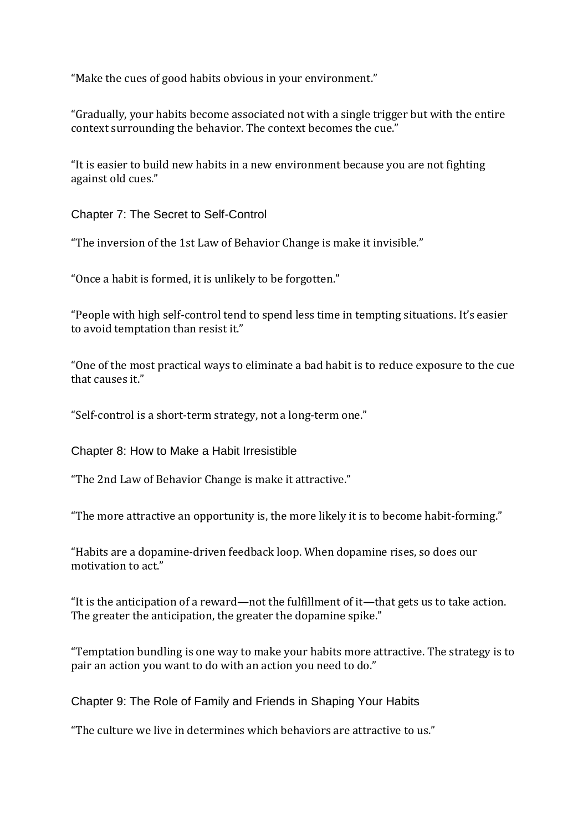"Make the cues of good habits obvious in your environment."

"Gradually, your habits become associated not with a single trigger but with the entire context surrounding the behavior. The context becomes the cue."

"It is easier to build new habits in a new environment because you are not fighting against old cues."

Chapter 7: The Secret to Self-Control

"The inversion of the 1st Law of Behavior Change is make it invisible."

"Once a habit is formed, it is unlikely to be forgotten."

"People with high self-control tend to spend less time in tempting situations. It's easier to avoid temptation than resist it."

"One of the most practical ways to eliminate a bad habit is to reduce exposure to the cue that causes it."

"Self-control is a short-term strategy, not a long-term one."

Chapter 8: How to Make a Habit Irresistible

"The 2nd Law of Behavior Change is make it attractive."

"The more attractive an opportunity is, the more likely it is to become habit-forming."

"Habits are a dopamine-driven feedback loop. When dopamine rises, so does our motivation to act."

"It is the anticipation of a reward—not the fulfillment of it—that gets us to take action. The greater the anticipation, the greater the dopamine spike."

"Temptation bundling is one way to make your habits more attractive. The strategy is to pair an action you want to do with an action you need to do."

Chapter 9: The Role of Family and Friends in Shaping Your Habits

"The culture we live in determines which behaviors are attractive to us."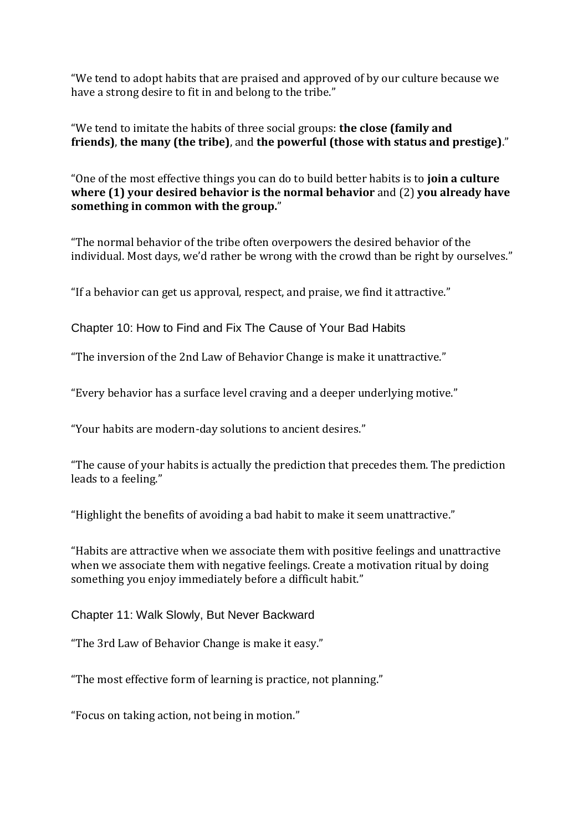"We tend to adopt habits that are praised and approved of by our culture because we have a strong desire to fit in and belong to the tribe."

"We tend to imitate the habits of three social groups: **the close (family and friends)**, **the many (the tribe)**, and **the powerful (those with status and prestige)**."

"One of the most effective things you can do to build better habits is to **join a culture where (1) your desired behavior is the normal behavior** and (2) **you already have something in common with the group.**"

"The normal behavior of the tribe often overpowers the desired behavior of the individual. Most days, we'd rather be wrong with the crowd than be right by ourselves."

"If a behavior can get us approval, respect, and praise, we find it attractive."

Chapter 10: How to Find and Fix The Cause of Your Bad Habits

"The inversion of the 2nd Law of Behavior Change is make it unattractive."

"Every behavior has a surface level craving and a deeper underlying motive."

"Your habits are modern-day solutions to ancient desires."

"The cause of your habits is actually the prediction that precedes them. The prediction leads to a feeling."

"Highlight the benefits of avoiding a bad habit to make it seem unattractive."

"Habits are attractive when we associate them with positive feelings and unattractive when we associate them with negative feelings. Create a motivation ritual by doing something you enjoy immediately before a difficult habit."

Chapter 11: Walk Slowly, But Never Backward

"The 3rd Law of Behavior Change is make it easy."

"The most effective form of learning is practice, not planning."

"Focus on taking action, not being in motion."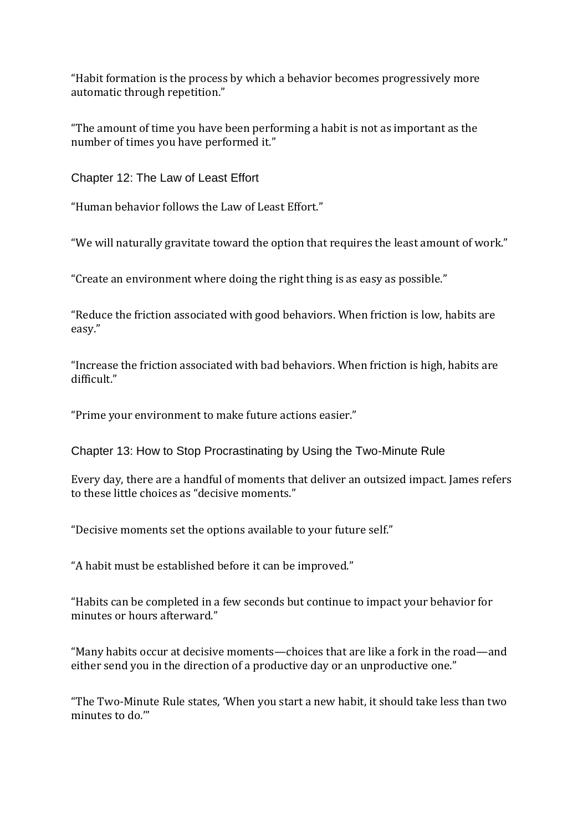"Habit formation is the process by which a behavior becomes progressively more automatic through repetition."

"The amount of time you have been performing a habit is not as important as the number of times you have performed it."

Chapter 12: The Law of Least Effort

"Human behavior follows the Law of Least Effort."

"We will naturally gravitate toward the option that requires the least amount of work."

"Create an environment where doing the right thing is as easy as possible."

"Reduce the friction associated with good behaviors. When friction is low, habits are easy."

"Increase the friction associated with bad behaviors. When friction is high, habits are difficult."

"Prime your environment to make future actions easier."

Chapter 13: How to Stop Procrastinating by Using the Two-Minute Rule

Every day, there are a handful of moments that deliver an outsized impact. James refers to these little choices as "decisive moments."

"Decisive moments set the options available to your future self."

"A habit must be established before it can be improved."

"Habits can be completed in a few seconds but continue to impact your behavior for minutes or hours afterward."

"Many habits occur at decisive moments—choices that are like a fork in the road—and either send you in the direction of a productive day or an unproductive one."

"The Two-Minute Rule states, 'When you start a new habit, it should take less than two minutes to do."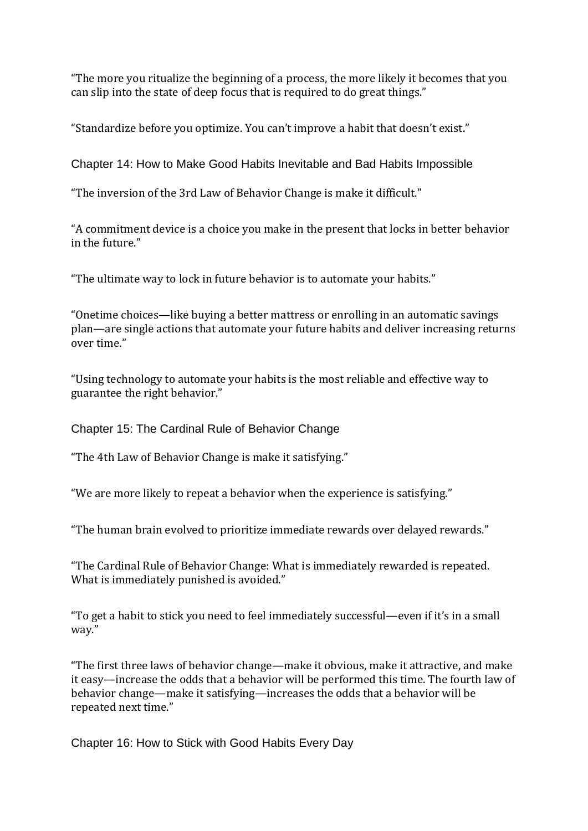"The more you ritualize the beginning of a process, the more likely it becomes that you can slip into the state of deep focus that is required to do great things."

"Standardize before you optimize. You can't improve a habit that doesn't exist."

Chapter 14: How to Make Good Habits Inevitable and Bad Habits Impossible

"The inversion of the 3rd Law of Behavior Change is make it difficult."

"A commitment device is a choice you make in the present that locks in better behavior in the future."

"The ultimate way to lock in future behavior is to automate your habits."

"Onetime choices—like buying a better mattress or enrolling in an automatic savings plan—are single actions that automate your future habits and deliver increasing returns over time."

"Using technology to automate your habits is the most reliable and effective way to guarantee the right behavior."

Chapter 15: The Cardinal Rule of Behavior Change

"The 4th Law of Behavior Change is make it satisfying."

"We are more likely to repeat a behavior when the experience is satisfying."

"The human brain evolved to prioritize immediate rewards over delayed rewards."

"The Cardinal Rule of Behavior Change: What is immediately rewarded is repeated. What is immediately punished is avoided."

"To get a habit to stick you need to feel immediately successful—even if it's in a small way."

"The first three laws of behavior change—make it obvious, make it attractive, and make it easy—increase the odds that a behavior will be performed this time. The fourth law of behavior change—make it satisfying—increases the odds that a behavior will be repeated next time."

Chapter 16: How to Stick with Good Habits Every Day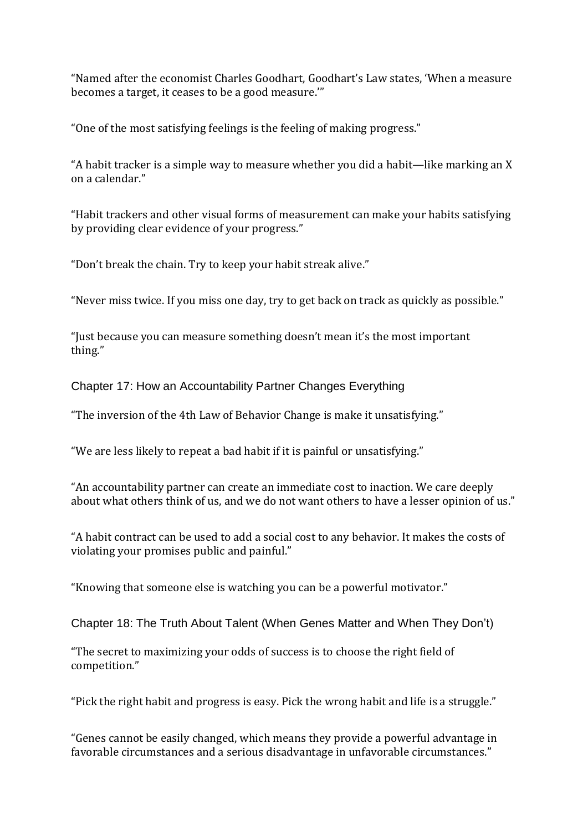"Named after the economist Charles Goodhart, Goodhart's Law states, 'When a measure becomes a target, it ceases to be a good measure.'"

"One of the most satisfying feelings is the feeling of making progress."

"A habit tracker is a simple way to measure whether you did a habit—like marking an X on a calendar."

"Habit trackers and other visual forms of measurement can make your habits satisfying by providing clear evidence of your progress."

"Don't break the chain. Try to keep your habit streak alive."

"Never miss twice. If you miss one day, try to get back on track as quickly as possible."

"Just because you can measure something doesn't mean it's the most important thing."

Chapter 17: How an Accountability Partner Changes Everything

"The inversion of the 4th Law of Behavior Change is make it unsatisfying."

"We are less likely to repeat a bad habit if it is painful or unsatisfying."

"An accountability partner can create an immediate cost to inaction. We care deeply about what others think of us, and we do not want others to have a lesser opinion of us."

"A habit contract can be used to add a social cost to any behavior. It makes the costs of violating your promises public and painful."

"Knowing that someone else is watching you can be a powerful motivator."

Chapter 18: The Truth About Talent (When Genes Matter and When They Don't)

"The secret to maximizing your odds of success is to choose the right field of competition."

"Pick the right habit and progress is easy. Pick the wrong habit and life is a struggle."

"Genes cannot be easily changed, which means they provide a powerful advantage in favorable circumstances and a serious disadvantage in unfavorable circumstances."